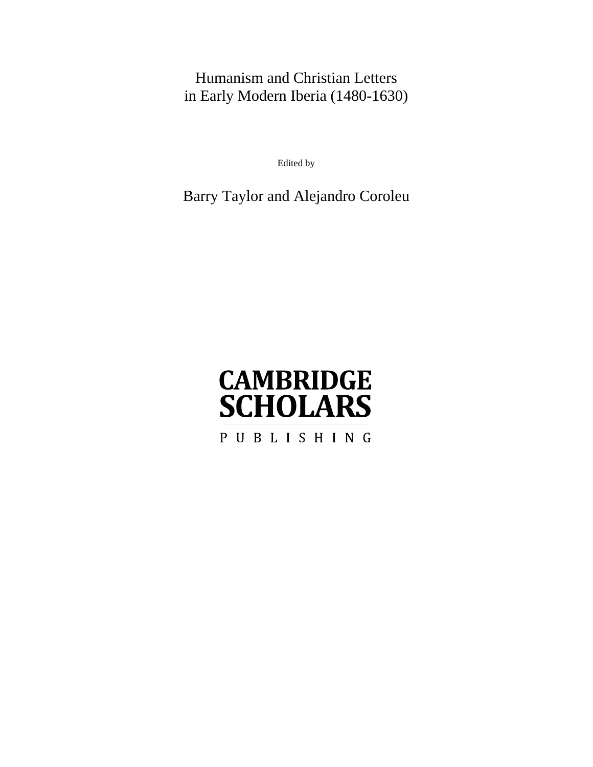## Humanism and Christian Letters in Early Modern Iberia (1480-1630)

Edited by

### Barry Taylor and Alejandro Coroleu

# **CAMBRIDGE SCHOLARS** PUBLISHING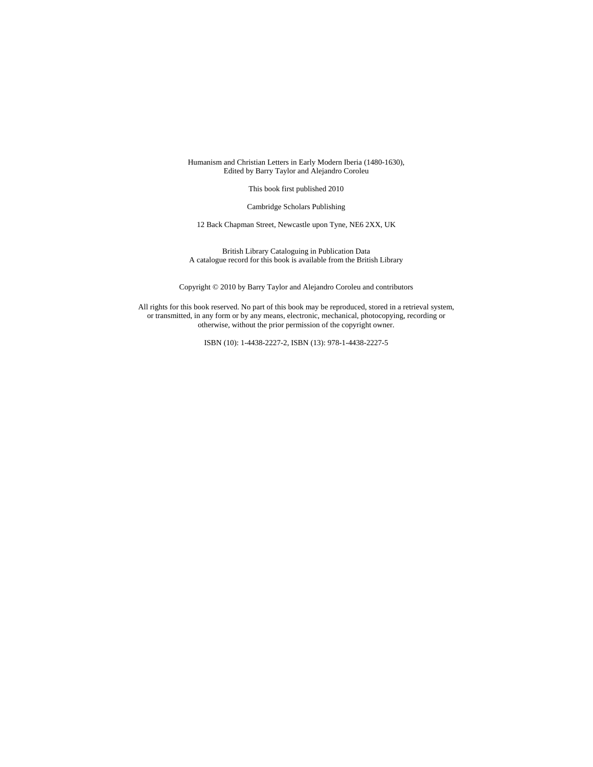#### Humanism and Christian Letters in Early Modern Iberia (1480-1630), Edited by Barry Taylor and Alejandro Coroleu

This book first published 2010

Cambridge Scholars Publishing

12 Back Chapman Street, Newcastle upon Tyne, NE6 2XX, UK

British Library Cataloguing in Publication Data A catalogue record for this book is available from the British Library

Copyright © 2010 by Barry Taylor and Alejandro Coroleu and contributors

All rights for this book reserved. No part of this book may be reproduced, stored in a retrieval system, or transmitted, in any form or by any means, electronic, mechanical, photocopying, recording or otherwise, without the prior permission of the copyright owner.

ISBN (10): 1-4438-2227-2, ISBN (13): 978-1-4438-2227-5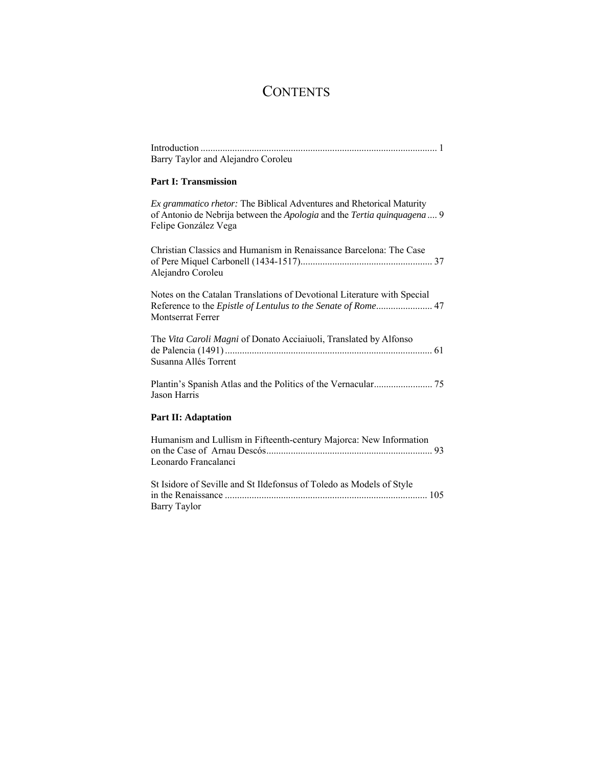# **CONTENTS**

| Barry Taylor and Alejandro Coroleu                                                                                                                                        |
|---------------------------------------------------------------------------------------------------------------------------------------------------------------------------|
| <b>Part I: Transmission</b>                                                                                                                                               |
| Ex grammatico rhetor: The Biblical Adventures and Rhetorical Maturity<br>of Antonio de Nebrija between the Apologia and the Tertia quinquagena  9<br>Felipe González Vega |
| Christian Classics and Humanism in Renaissance Barcelona: The Case<br>Alejandro Coroleu                                                                                   |
| Notes on the Catalan Translations of Devotional Literature with Special<br>Reference to the Epistle of Lentulus to the Senate of Rome 47<br><b>Montserrat Ferrer</b>      |
| The Vita Caroli Magni of Donato Acciaiuoli, Translated by Alfonso<br>Susanna Allés Torrent                                                                                |
| Jason Harris                                                                                                                                                              |
| <b>Part II: Adaptation</b>                                                                                                                                                |
| Humanism and Lullism in Fifteenth-century Majorca: New Information<br>Leonardo Francalanci                                                                                |
| St Isidore of Seville and St Ildefonsus of Toledo as Models of Style<br>Barry Taylor                                                                                      |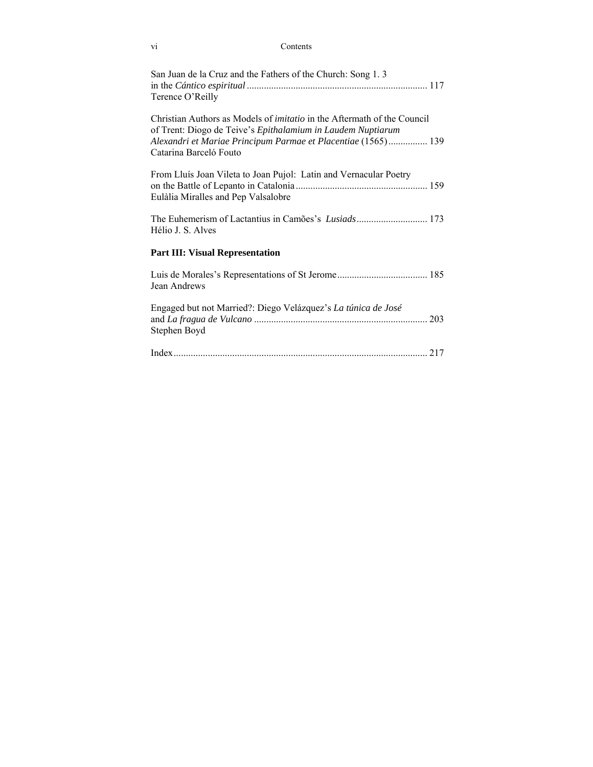| Contents<br>vi                                                                                                                                                                                                                           |
|------------------------------------------------------------------------------------------------------------------------------------------------------------------------------------------------------------------------------------------|
| San Juan de la Cruz and the Fathers of the Church: Song 1.3<br>Terence O'Reilly                                                                                                                                                          |
| Christian Authors as Models of <i>imitatio</i> in the Aftermath of the Council<br>of Trent: Diogo de Teive's Epithalamium in Laudem Nuptiarum<br>Alexandri et Mariae Principum Parmae et Placentiae (1565) 139<br>Catarina Barceló Fouto |
| From Lluís Joan Vileta to Joan Pujol: Latin and Vernacular Poetry<br>Eulàlia Miralles and Pep Valsalobre                                                                                                                                 |
| Hélio J. S. Alves                                                                                                                                                                                                                        |
| <b>Part III: Visual Representation</b>                                                                                                                                                                                                   |
| Jean Andrews                                                                                                                                                                                                                             |
| Engaged but not Married?: Diego Velázquez's La túnica de José<br>Stephen Boyd                                                                                                                                                            |
|                                                                                                                                                                                                                                          |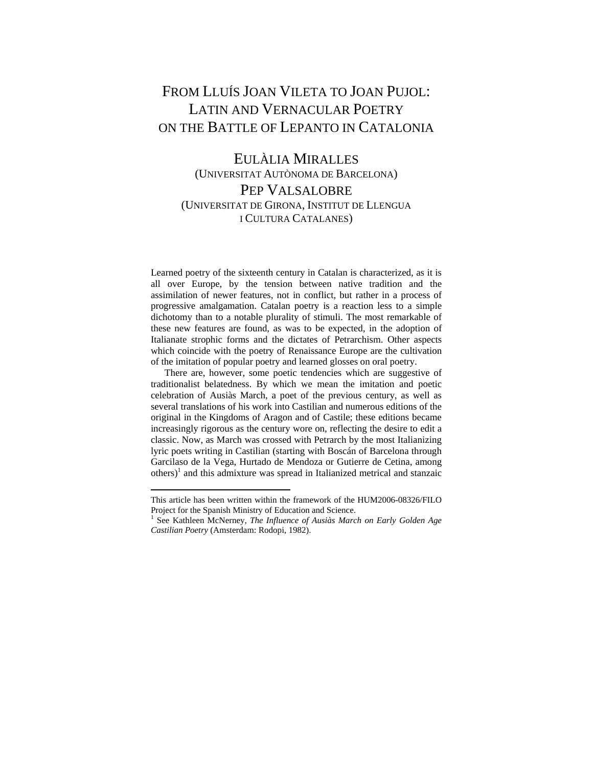### FROM LLUÍS JOAN VILETA TO JOAN PUJOL: LATIN AND VERNACULAR POETRY ON THE BATTLE OF LEPANTO IN CATALONIA

### EULÀLIA MIRALLES (UNIVERSITAT AUTÒNOMA DE BARCELONA) PEP VALSALOBRE (UNIVERSITAT DE GIRONA, INSTITUT DE LLENGUA I CULTURA CATALANES)

Learned poetry of the sixteenth century in Catalan is characterized, as it is all over Europe, by the tension between native tradition and the assimilation of newer features, not in conflict, but rather in a process of progressive amalgamation. Catalan poetry is a reaction less to a simple dichotomy than to a notable plurality of stimuli. The most remarkable of these new features are found, as was to be expected, in the adoption of Italianate strophic forms and the dictates of Petrarchism. Other aspects which coincide with the poetry of Renaissance Europe are the cultivation of the imitation of popular poetry and learned glosses on oral poetry.

 There are, however, some poetic tendencies which are suggestive of traditionalist belatedness. By which we mean the imitation and poetic celebration of Ausiàs March, a poet of the previous century, as well as several translations of his work into Castilian and numerous editions of the original in the Kingdoms of Aragon and of Castile; these editions became increasingly rigorous as the century wore on, reflecting the desire to edit a classic. Now, as March was crossed with Petrarch by the most Italianizing lyric poets writing in Castilian (starting with Boscán of Barcelona through Garcilaso de la Vega, Hurtado de Mendoza or Gutierre de Cetina, among others)<sup>1</sup> and this admixture was spread in Italianized metrical and stanzaic

This article has been written within the framework of the HUM2006-08326/FILO Project for the Spanish Ministry of Education and Science.

<sup>&</sup>lt;sup>1</sup> See Kathleen McNerney, *The Influence of Ausiàs March on Early Golden Age Castilian Poetry* (Amsterdam: Rodopi, 1982).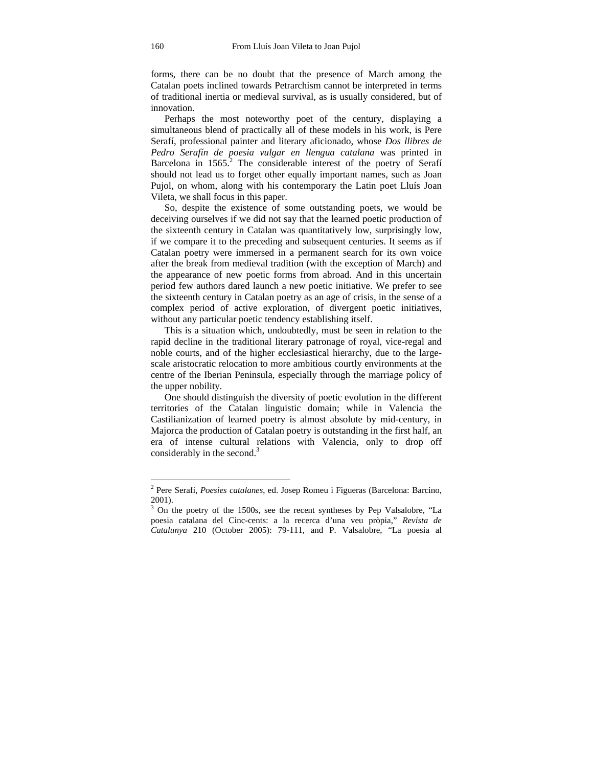forms, there can be no doubt that the presence of March among the Catalan poets inclined towards Petrarchism cannot be interpreted in terms of traditional inertia or medieval survival, as is usually considered, but of innovation.

 Perhaps the most noteworthy poet of the century, displaying a simultaneous blend of practically all of these models in his work, is Pere Serafí, professional painter and literary aficionado, whose *Dos llibres de Pedro Serafín de poesia vulgar en llengua catalana* was printed in Barcelona in  $1565$ <sup>2</sup>. The considerable interest of the poetry of Serafí should not lead us to forget other equally important names, such as Joan Pujol, on whom, along with his contemporary the Latin poet Lluís Joan Vileta, we shall focus in this paper.

 So, despite the existence of some outstanding poets, we would be deceiving ourselves if we did not say that the learned poetic production of the sixteenth century in Catalan was quantitatively low, surprisingly low, if we compare it to the preceding and subsequent centuries. It seems as if Catalan poetry were immersed in a permanent search for its own voice after the break from medieval tradition (with the exception of March) and the appearance of new poetic forms from abroad. And in this uncertain period few authors dared launch a new poetic initiative. We prefer to see the sixteenth century in Catalan poetry as an age of crisis, in the sense of a complex period of active exploration, of divergent poetic initiatives, without any particular poetic tendency establishing itself.

 This is a situation which, undoubtedly, must be seen in relation to the rapid decline in the traditional literary patronage of royal, vice-regal and noble courts, and of the higher ecclesiastical hierarchy, due to the largescale aristocratic relocation to more ambitious courtly environments at the centre of the Iberian Peninsula, especially through the marriage policy of the upper nobility.

 One should distinguish the diversity of poetic evolution in the different territories of the Catalan linguistic domain; while in Valencia the Castilianization of learned poetry is almost absolute by mid-century, in Majorca the production of Catalan poetry is outstanding in the first half, an era of intense cultural relations with Valencia, only to drop off considerably in the second.<sup>3</sup>

<sup>2</sup> Pere Serafí, *Poesies catalanes*, ed. Josep Romeu i Figueras (Barcelona: Barcino, 2001).

<sup>&</sup>lt;sup>3</sup> On the poetry of the 1500s, see the recent syntheses by Pep Valsalobre, "La poesia catalana del Cinc-cents: a la recerca d'una veu pròpia," *Revista de Catalunya* 210 (October 2005): 79-111, and P. Valsalobre, "La poesia al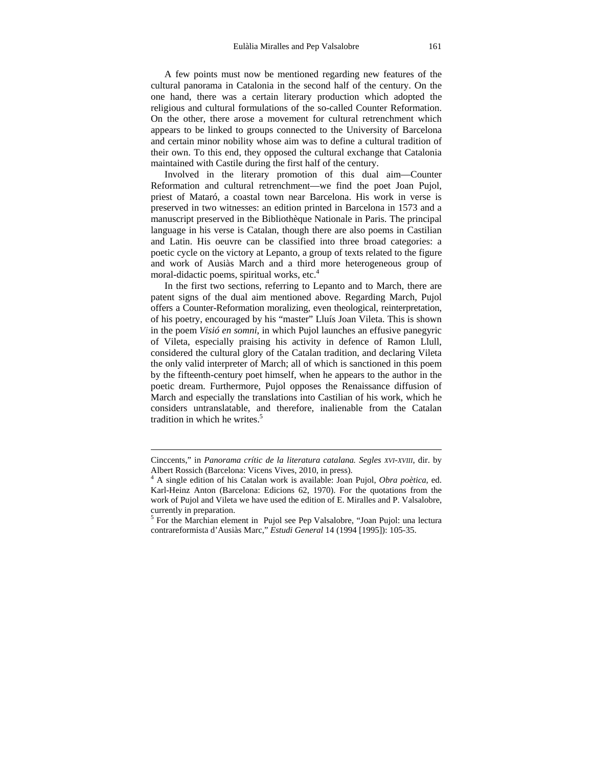A few points must now be mentioned regarding new features of the cultural panorama in Catalonia in the second half of the century. On the one hand, there was a certain literary production which adopted the religious and cultural formulations of the so-called Counter Reformation. On the other, there arose a movement for cultural retrenchment which appears to be linked to groups connected to the University of Barcelona and certain minor nobility whose aim was to define a cultural tradition of their own. To this end, they opposed the cultural exchange that Catalonia maintained with Castile during the first half of the century.

 Involved in the literary promotion of this dual aim—Counter Reformation and cultural retrenchment—we find the poet Joan Pujol, priest of Mataró, a coastal town near Barcelona. His work in verse is preserved in two witnesses: an edition printed in Barcelona in 1573 and a manuscript preserved in the Bibliothèque Nationale in Paris. The principal language in his verse is Catalan, though there are also poems in Castilian and Latin. His oeuvre can be classified into three broad categories: a poetic cycle on the victory at Lepanto, a group of texts related to the figure and work of Ausiàs March and a third more heterogeneous group of moral-didactic poems, spiritual works, etc. $4$ 

 In the first two sections, referring to Lepanto and to March, there are patent signs of the dual aim mentioned above. Regarding March, Pujol offers a Counter-Reformation moralizing, even theological, reinterpretation, of his poetry, encouraged by his "master" Lluís Joan Vileta. This is shown in the poem *Visió en somni*, in which Pujol launches an effusive panegyric of Vileta, especially praising his activity in defence of Ramon Llull, considered the cultural glory of the Catalan tradition, and declaring Vileta the only valid interpreter of March; all of which is sanctioned in this poem by the fifteenth-century poet himself, when he appears to the author in the poetic dream. Furthermore, Pujol opposes the Renaissance diffusion of March and especially the translations into Castilian of his work, which he considers untranslatable, and therefore, inalienable from the Catalan tradition in which he writes  $<sup>5</sup>$ </sup>

Cinccents," in *Panorama crític de la literatura catalana. Segles XVI-XVIII*, dir. by Albert Rossich (Barcelona: Vicens Vives, 2010, in press). 4

A single edition of his Catalan work is available: Joan Pujol, *Obra poètica*, ed. Karl-Heinz Anton (Barcelona: Edicions 62, 1970). For the quotations from the work of Pujol and Vileta we have used the edition of E. Miralles and P. Valsalobre, currently in preparation.

<sup>&</sup>lt;sup>5</sup> For the Marchian element in Pujol see Pep Valsalobre, "Joan Pujol: una lectura contrareformista d'Ausiàs Marc," *Estudi General* 14 (1994 [1995]): 105-35.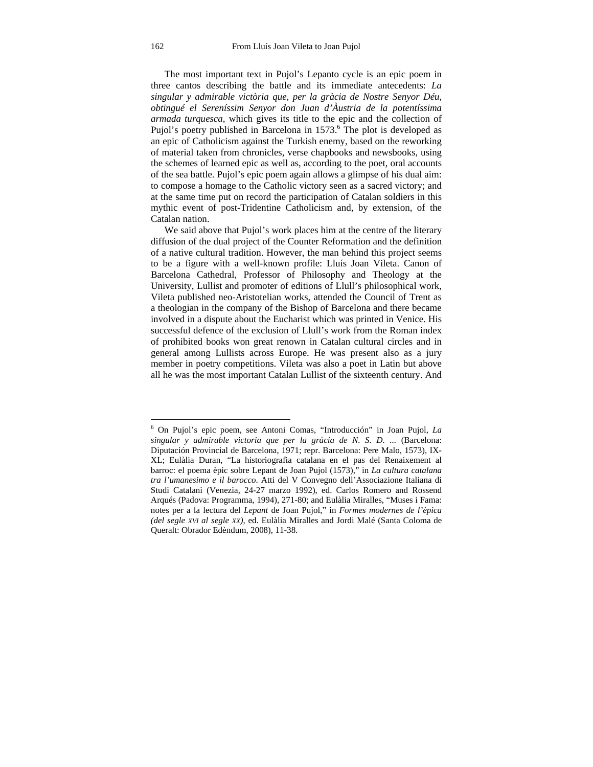The most important text in Pujol's Lepanto cycle is an epic poem in three cantos describing the battle and its immediate antecedents: *La singular y admirable victòria que, per la gràcia de Nostre Senyor Déu, obtingué el Sereníssim Senyor don Juan d'Àustria de la potentíssima armada turquesca,* which gives its title to the epic and the collection of Pujol's poetry published in Barcelona in 1573.<sup>6</sup> The plot is developed as an epic of Catholicism against the Turkish enemy, based on the reworking of material taken from chronicles, verse chapbooks and newsbooks, using the schemes of learned epic as well as, according to the poet, oral accounts of the sea battle. Pujol's epic poem again allows a glimpse of his dual aim: to compose a homage to the Catholic victory seen as a sacred victory; and at the same time put on record the participation of Catalan soldiers in this mythic event of post-Tridentine Catholicism and, by extension, of the Catalan nation.

We said above that Pujol's work places him at the centre of the literary diffusion of the dual project of the Counter Reformation and the definition of a native cultural tradition. However, the man behind this project seems to be a figure with a well-known profile: Lluís Joan Vileta. Canon of Barcelona Cathedral, Professor of Philosophy and Theology at the University, Lullist and promoter of editions of Llull's philosophical work, Vileta published neo-Aristotelian works, attended the Council of Trent as a theologian in the company of the Bishop of Barcelona and there became involved in a dispute about the Eucharist which was printed in Venice. His successful defence of the exclusion of Llull's work from the Roman index of prohibited books won great renown in Catalan cultural circles and in general among Lullists across Europe. He was present also as a jury member in poetry competitions. Vileta was also a poet in Latin but above all he was the most important Catalan Lullist of the sixteenth century. And

<sup>6</sup> On Pujol's epic poem, see Antoni Comas, "Introducción" in Joan Pujol, *La singular y admirable victoria que per la gràcia de N. S. D. ...* (Barcelona: Diputación Provincial de Barcelona, 1971; repr. Barcelona: Pere Malo, 1573), IX-XL; Eulàlia Duran, "La historiografia catalana en el pas del Renaixement al barroc: el poema èpic sobre Lepant de Joan Pujol (1573)," in *La cultura catalana tra l'umanesimo e il barocco*. Atti del V Convegno dell'Associazione Italiana di Studi Catalani (Venezia, 24-27 marzo 1992), ed. Carlos Romero and Rossend Arqués (Padova: Programma, 1994), 271-80; and Eulàlia Miralles, "Muses i Fama: notes per a la lectura del *Lepant* de Joan Pujol," in *Formes modernes de l'èpica (del segle XVI al segle XX)*, ed. Eulàlia Miralles and Jordi Malé (Santa Coloma de Queralt: Obrador Edèndum, 2008), 11-38.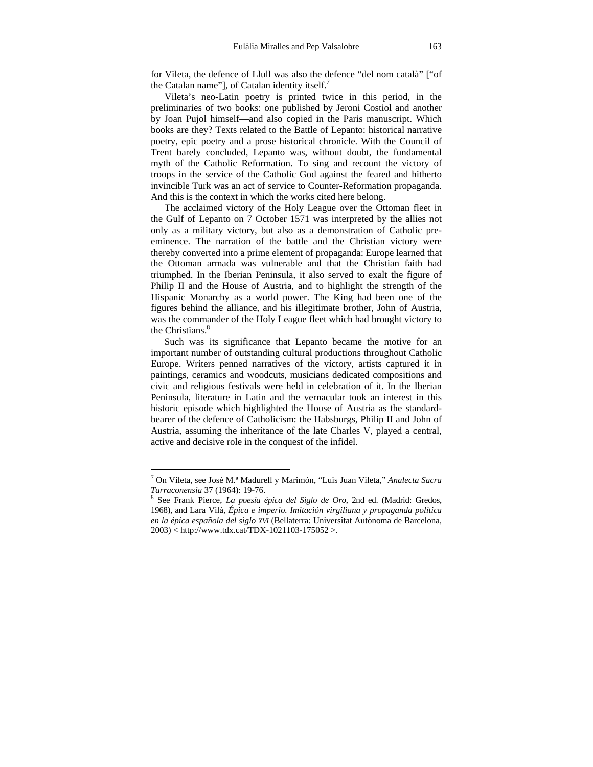for Vileta, the defence of Llull was also the defence "del nom català" ["of the Catalan name"], of Catalan identity itself.<sup>7</sup>

 Vileta's neo-Latin poetry is printed twice in this period, in the preliminaries of two books: one published by Jeroni Costiol and another by Joan Pujol himself—and also copied in the Paris manuscript. Which books are they? Texts related to the Battle of Lepanto: historical narrative poetry, epic poetry and a prose historical chronicle. With the Council of Trent barely concluded, Lepanto was, without doubt, the fundamental myth of the Catholic Reformation. To sing and recount the victory of troops in the service of the Catholic God against the feared and hitherto invincible Turk was an act of service to Counter-Reformation propaganda. And this is the context in which the works cited here belong.

 The acclaimed victory of the Holy League over the Ottoman fleet in the Gulf of Lepanto on 7 October 1571 was interpreted by the allies not only as a military victory, but also as a demonstration of Catholic preeminence. The narration of the battle and the Christian victory were thereby converted into a prime element of propaganda: Europe learned that the Ottoman armada was vulnerable and that the Christian faith had triumphed. In the Iberian Peninsula, it also served to exalt the figure of Philip II and the House of Austria, and to highlight the strength of the Hispanic Monarchy as a world power. The King had been one of the figures behind the alliance, and his illegitimate brother, John of Austria, was the commander of the Holy League fleet which had brought victory to the Christians  $<sup>8</sup>$ </sup>

 Such was its significance that Lepanto became the motive for an important number of outstanding cultural productions throughout Catholic Europe. Writers penned narratives of the victory, artists captured it in paintings, ceramics and woodcuts, musicians dedicated compositions and civic and religious festivals were held in celebration of it. In the Iberian Peninsula, literature in Latin and the vernacular took an interest in this historic episode which highlighted the House of Austria as the standardbearer of the defence of Catholicism: the Habsburgs, Philip II and John of Austria, assuming the inheritance of the late Charles V, played a central, active and decisive role in the conquest of the infidel.

<sup>7</sup> On Vileta, see José M.ª Madurell y Marimón, "Luis Juan Vileta," *Analecta Sacra Tarraconensia* 37 (1964): 19-76. 8

See Frank Pierce, *La poesía épica del Siglo de Oro*, 2nd ed. (Madrid: Gredos, 1968), and Lara Vilà, *Épica e imperio. Imitación virgiliana y propaganda política en la épica española del siglo XVI* (Bellaterra: Universitat Autònoma de Barcelona, 2003) < http://www.tdx.cat/TDX-1021103-175052 >.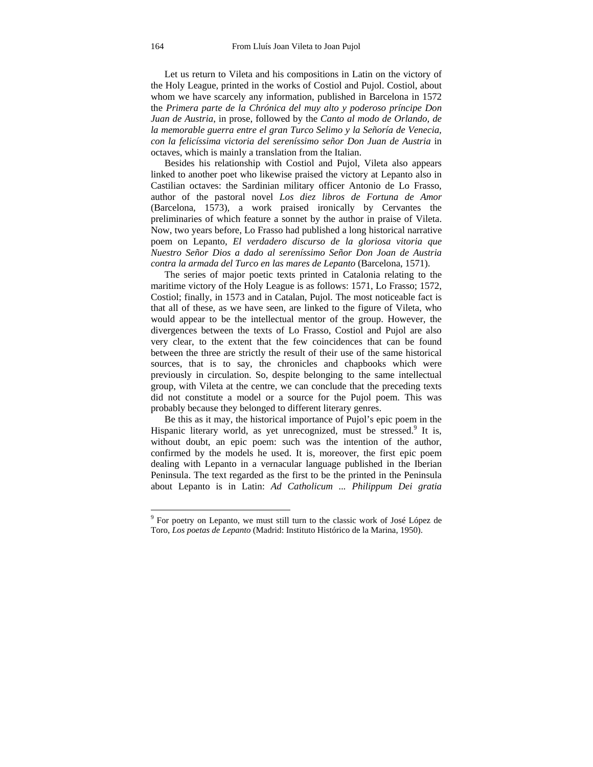Let us return to Vileta and his compositions in Latin on the victory of the Holy League, printed in the works of Costiol and Pujol. Costiol, about whom we have scarcely any information, published in Barcelona in 1572 the *Primera parte de la Chrónica del muy alto y poderoso príncipe Don Juan de Austria*, in prose, followed by the *Canto al modo de Orlando, de la memorable guerra entre el gran Turco Selimo y la Señoría de Venecia, con la felicíssima victoria del sereníssimo señor Don Juan de Austria* in octaves, which is mainly a translation from the Italian.

 Besides his relationship with Costiol and Pujol, Vileta also appears linked to another poet who likewise praised the victory at Lepanto also in Castilian octaves: the Sardinian military officer Antonio de Lo Frasso, author of the pastoral novel *Los diez libros de Fortuna de Amor* (Barcelona, 1573), a work praised ironically by Cervantes the preliminaries of which feature a sonnet by the author in praise of Vileta. Now, two years before, Lo Frasso had published a long historical narrative poem on Lepanto, *El verdadero discurso de la gloriosa vitoria que Nuestro Señor Dios a dado al sereníssimo Señor Don Joan de Austria contra la armada del Turco en las mares de Lepanto* (Barcelona, 1571).

 The series of major poetic texts printed in Catalonia relating to the maritime victory of the Holy League is as follows: 1571, Lo Frasso; 1572, Costiol; finally, in 1573 and in Catalan, Pujol. The most noticeable fact is that all of these, as we have seen, are linked to the figure of Vileta, who would appear to be the intellectual mentor of the group. However, the divergences between the texts of Lo Frasso, Costiol and Pujol are also very clear, to the extent that the few coincidences that can be found between the three are strictly the result of their use of the same historical sources, that is to say, the chronicles and chapbooks which were previously in circulation. So, despite belonging to the same intellectual group, with Vileta at the centre, we can conclude that the preceding texts did not constitute a model or a source for the Pujol poem. This was probably because they belonged to different literary genres.

 Be this as it may, the historical importance of Pujol's epic poem in the Hispanic literary world, as yet unrecognized, must be stressed.<sup>9</sup> It is, without doubt, an epic poem: such was the intention of the author, confirmed by the models he used. It is, moreover, the first epic poem dealing with Lepanto in a vernacular language published in the Iberian Peninsula. The text regarded as the first to be the printed in the Peninsula about Lepanto is in Latin: *Ad Catholicum ... Philippum Dei gratia* 

<sup>&</sup>lt;sup>9</sup> For poetry on Lepanto, we must still turn to the classic work of José López de Toro, *Los poetas de Lepanto* (Madrid: Instituto Histórico de la Marina, 1950).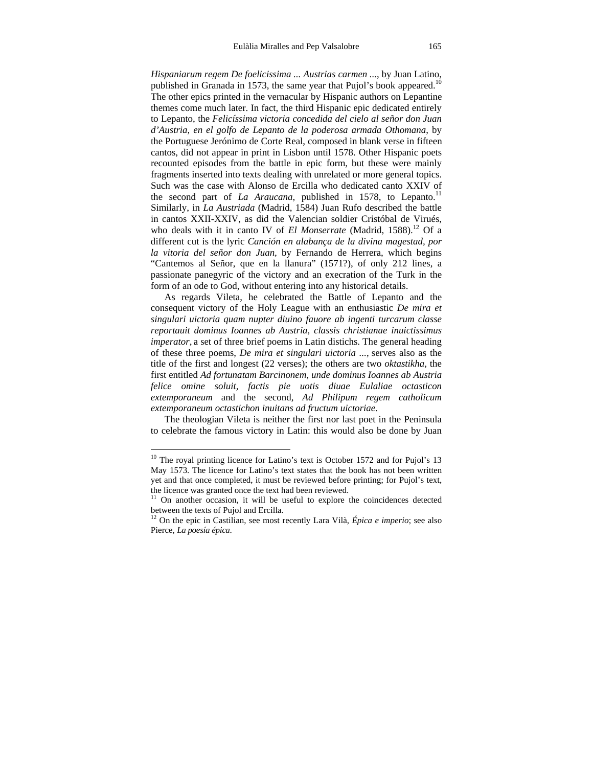*Hispaniarum regem De foelicissima ... Austrias carmen ...*, by Juan Latino, published in Granada in 1573, the same year that Pujol's book appeared.<sup>10</sup> The other epics printed in the vernacular by Hispanic authors on Lepantine themes come much later. In fact, the third Hispanic epic dedicated entirely to Lepanto, the *Felicíssima victoria concedida del cielo al señor don Juan d'Austria, en el golfo de Lepanto de la poderosa armada Othomana*, by the Portuguese Jerónimo de Corte Real, composed in blank verse in fifteen cantos, did not appear in print in Lisbon until 1578. Other Hispanic poets recounted episodes from the battle in epic form, but these were mainly fragments inserted into texts dealing with unrelated or more general topics. Such was the case with Alonso de Ercilla who dedicated canto XXIV of the second part of *La Araucana*, published in 1578, to Lepanto.<sup>11</sup> Similarly, in *La Austriada* (Madrid, 1584) Juan Rufo described the battle in cantos XXII-XXIV, as did the Valencian soldier Cristóbal de Virués, who deals with it in canto IV of *El Monserrate* (Madrid, 1588).<sup>12</sup> Of a different cut is the lyric *Canción en alabança de la divina magestad, por la vitoria del señor don Juan,* by Fernando de Herrera, which begins "Cantemos al Señor, que en la llanura" (1571?), of only 212 lines, a passionate panegyric of the victory and an execration of the Turk in the form of an ode to God, without entering into any historical details.

 As regards Vileta, he celebrated the Battle of Lepanto and the consequent victory of the Holy League with an enthusiastic *De mira et singulari uictoria quam nupter diuino fauore ab ingenti turcarum classe reportauit dominus Ioannes ab Austria, classis christianae inuictissimus imperator*, a set of three brief poems in Latin distichs. The general heading of these three poems, *De mira et singulari uictoria ...*, serves also as the title of the first and longest (22 verses); the others are two *oktastikha*, the first entitled *Ad fortunatam Barcinonem, unde dominus Ioannes ab Austria felice omine soluit, factis pie uotis diuae Eulaliae octasticon extemporaneum* and the second, *Ad Philipum regem catholicum extemporaneum octastichon inuitans ad fructum uictoriae*.

 The theologian Vileta is neither the first nor last poet in the Peninsula to celebrate the famous victory in Latin: this would also be done by Juan

 $10$  The royal printing licence for Latino's text is October 1572 and for Pujol's 13 May 1573. The licence for Latino's text states that the book has not been written yet and that once completed, it must be reviewed before printing; for Pujol's text, the licence was granted once the text had been reviewed.

<sup>&</sup>lt;sup>11</sup> On another occasion, it will be useful to explore the coincidences detected between the texts of Pujol and Ercilla.

<sup>12</sup> On the epic in Castilian, see most recently Lara Vilà, *Épica e imperio*; see also Pierce, *La poesía épica*.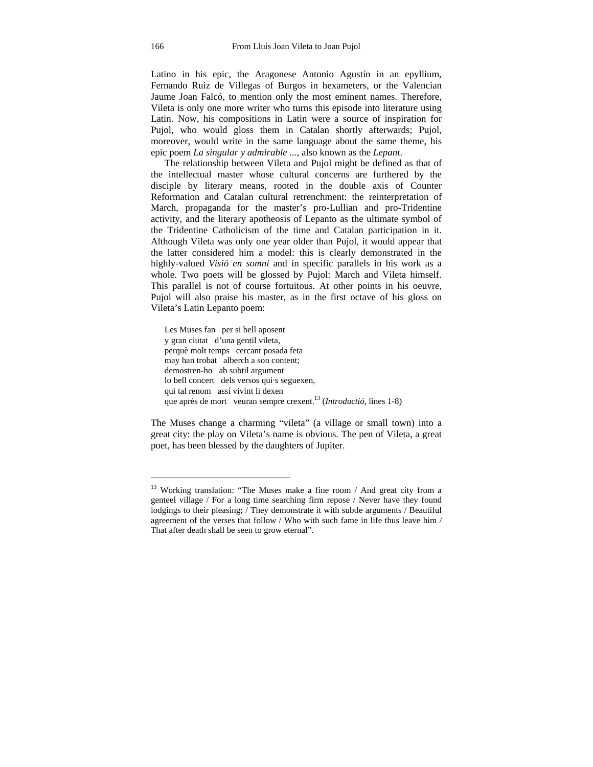Latino in his epic, the Aragonese Antonio Agustín in an epyllium, Fernando Ruiz de Villegas of Burgos in hexameters, or the Valencian Jaume Joan Falcó, to mention only the most eminent names. Therefore, Vileta is only one more writer who turns this episode into literature using Latin. Now, his compositions in Latin were a source of inspiration for Pujol, who would gloss them in Catalan shortly afterwards; Pujol, moreover, would write in the same language about the same theme, his epic poem *La singular y admirable ...*, also known as the *Lepant*.

 The relationship between Vileta and Pujol might be defined as that of the intellectual master whose cultural concerns are furthered by the disciple by literary means, rooted in the double axis of Counter Reformation and Catalan cultural retrenchment: the reinterpretation of March, propaganda for the master's pro-Lullian and pro-Tridentine activity, and the literary apotheosis of Lepanto as the ultimate symbol of the Tridentine Catholicism of the time and Catalan participation in it. Although Vileta was only one year older than Pujol, it would appear that the latter considered him a model: this is clearly demonstrated in the highly-valued *Visió en somni* and in specific parallels in his work as a whole. Two poets will be glossed by Pujol: March and Vileta himself. This parallel is not of course fortuitous. At other points in his oeuvre, Pujol will also praise his master, as in the first octave of his gloss on Vileta's Latin Lepanto poem:

Les Muses fan per si bell aposent y gran ciutat d'una gentil vileta, perquè molt temps cercant posada feta may han trobat alberch a son content; demostren-ho ab subtil argument lo bell concert dels versos qui·s seguexen, qui tal renom assí vivint li dexen que aprés de mort veuran sempre crexent.13 (*Introductió*, lines 1-8)

The Muses change a charming "vileta" (a village or small town) into a great city: the play on Vileta's name is obvious. The pen of Vileta, a great poet, has been blessed by the daughters of Jupiter.

 $13$  Working translation: "The Muses make a fine room / And great city from a genteel village / For a long time searching firm repose / Never have they found lodgings to their pleasing; / They demonstrate it with subtle arguments / Beautiful agreement of the verses that follow / Who with such fame in life thus leave him / That after death shall be seen to grow eternal".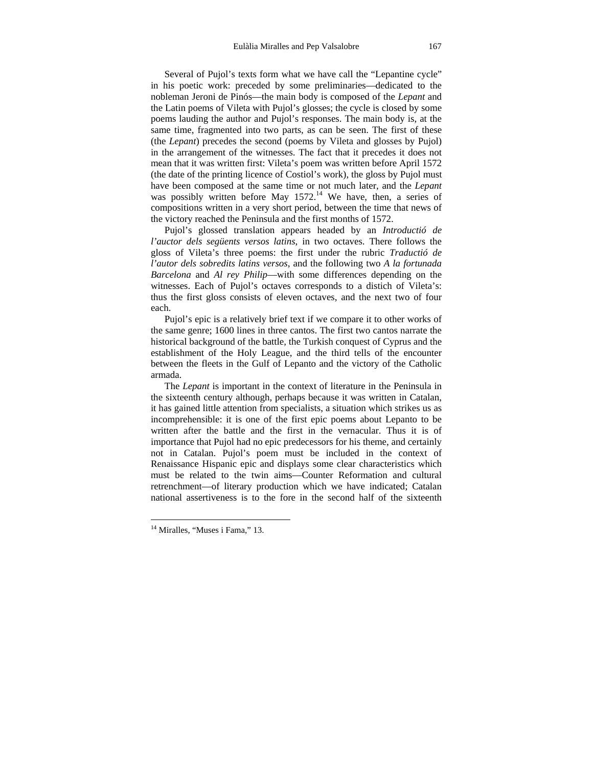Several of Pujol's texts form what we have call the "Lepantine cycle" in his poetic work: preceded by some preliminaries—dedicated to the nobleman Jeroni de Pinós—the main body is composed of the *Lepant* and the Latin poems of Vileta with Pujol's glosses; the cycle is closed by some poems lauding the author and Pujol's responses. The main body is, at the same time, fragmented into two parts, as can be seen. The first of these (the *Lepant*) precedes the second (poems by Vileta and glosses by Pujol) in the arrangement of the witnesses. The fact that it precedes it does not mean that it was written first: Vileta's poem was written before April 1572 (the date of the printing licence of Costiol's work), the gloss by Pujol must have been composed at the same time or not much later, and the *Lepant*  was possibly written before May  $1572<sup>14</sup>$  We have, then, a series of compositions written in a very short period, between the time that news of the victory reached the Peninsula and the first months of 1572.

 Pujol's glossed translation appears headed by an *Introductió de l'auctor dels següents versos latins*, in two octaves. There follows the gloss of Vileta's three poems: the first under the rubric *Traductió de l'autor dels sobredits latins versos*, and the following two *A la fortunada Barcelona* and *Al rey Philip*—with some differences depending on the witnesses. Each of Pujol's octaves corresponds to a distich of Vileta's: thus the first gloss consists of eleven octaves, and the next two of four each.

 Pujol's epic is a relatively brief text if we compare it to other works of the same genre; 1600 lines in three cantos. The first two cantos narrate the historical background of the battle, the Turkish conquest of Cyprus and the establishment of the Holy League, and the third tells of the encounter between the fleets in the Gulf of Lepanto and the victory of the Catholic armada.

 The *Lepant* is important in the context of literature in the Peninsula in the sixteenth century although, perhaps because it was written in Catalan, it has gained little attention from specialists, a situation which strikes us as incomprehensible: it is one of the first epic poems about Lepanto to be written after the battle and the first in the vernacular. Thus it is of importance that Pujol had no epic predecessors for his theme, and certainly not in Catalan. Pujol's poem must be included in the context of Renaissance Hispanic epic and displays some clear characteristics which must be related to the twin aims—Counter Reformation and cultural retrenchment—of literary production which we have indicated; Catalan national assertiveness is to the fore in the second half of the sixteenth

<sup>&</sup>lt;sup>14</sup> Miralles, "Muses i Fama," 13.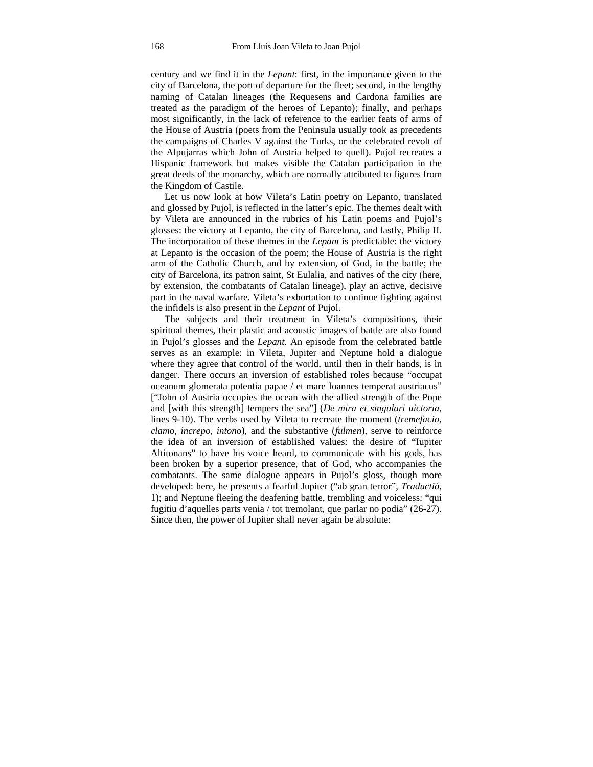century and we find it in the *Lepant*: first, in the importance given to the city of Barcelona, the port of departure for the fleet; second, in the lengthy naming of Catalan lineages (the Requesens and Cardona families are treated as the paradigm of the heroes of Lepanto); finally, and perhaps most significantly, in the lack of reference to the earlier feats of arms of the House of Austria (poets from the Peninsula usually took as precedents the campaigns of Charles V against the Turks, or the celebrated revolt of the Alpujarras which John of Austria helped to quell). Pujol recreates a Hispanic framework but makes visible the Catalan participation in the great deeds of the monarchy, which are normally attributed to figures from the Kingdom of Castile.

 Let us now look at how Vileta's Latin poetry on Lepanto, translated and glossed by Pujol, is reflected in the latter's epic. The themes dealt with by Vileta are announced in the rubrics of his Latin poems and Pujol's glosses: the victory at Lepanto, the city of Barcelona, and lastly, Philip II. The incorporation of these themes in the *Lepant* is predictable: the victory at Lepanto is the occasion of the poem; the House of Austria is the right arm of the Catholic Church, and by extension, of God, in the battle; the city of Barcelona, its patron saint, St Eulalia, and natives of the city (here, by extension, the combatants of Catalan lineage), play an active, decisive part in the naval warfare. Vileta's exhortation to continue fighting against the infidels is also present in the *Lepant* of Pujol.

 The subjects and their treatment in Vileta's compositions, their spiritual themes, their plastic and acoustic images of battle are also found in Pujol's glosses and the *Lepant*. An episode from the celebrated battle serves as an example: in Vileta, Jupiter and Neptune hold a dialogue where they agree that control of the world, until then in their hands, is in danger. There occurs an inversion of established roles because "occupat oceanum glomerata potentia papae / et mare Ioannes temperat austriacus" ["John of Austria occupies the ocean with the allied strength of the Pope and [with this strength] tempers the sea"] (*De mira et singulari uictoria*, lines 9-10). The verbs used by Vileta to recreate the moment (*tremefacio, clamo, increpo, intono*), and the substantive (*fulmen*), serve to reinforce the idea of an inversion of established values: the desire of "Iupiter Altitonans" to have his voice heard, to communicate with his gods, has been broken by a superior presence, that of God, who accompanies the combatants. The same dialogue appears in Pujol's gloss, though more developed: here, he presents a fearful Jupiter ("ab gran terror", *Traductió*, 1); and Neptune fleeing the deafening battle, trembling and voiceless: "qui fugitiu d'aquelles parts venia / tot tremolant, que parlar no podia" (26-27). Since then, the power of Jupiter shall never again be absolute: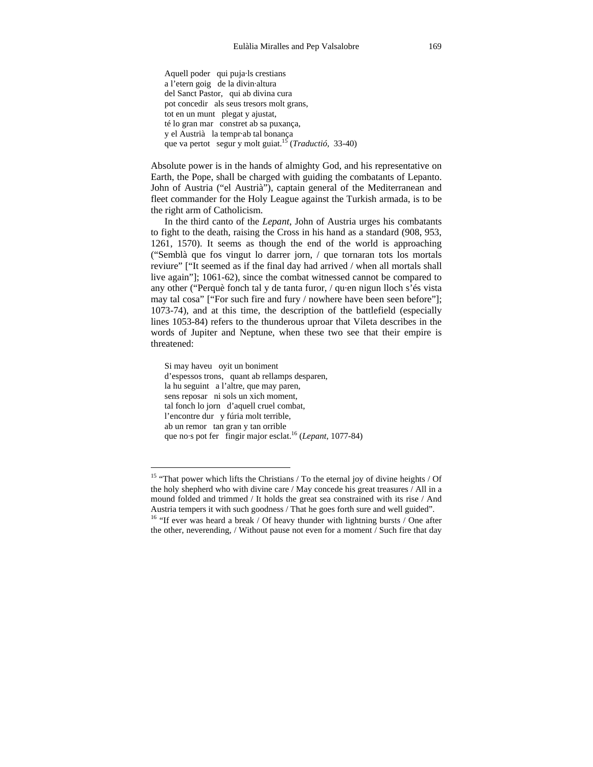Aquell poder qui puja·ls crestians a l'etern goig de la divin·altura del Sanct Pastor, qui ab divina cura pot concedir als seus tresors molt grans, tot en un munt plegat y ajustat, té lo gran mar constret ab sa puxança, y el Austrià la tempr·ab tal bonança que va pertot segur y molt guiat.<sup>15</sup> (*Traductió,* 33-40)

Absolute power is in the hands of almighty God, and his representative on Earth, the Pope, shall be charged with guiding the combatants of Lepanto. John of Austria ("el Austrià"), captain general of the Mediterranean and fleet commander for the Holy League against the Turkish armada, is to be the right arm of Catholicism.

 In the third canto of the *Lepant*, John of Austria urges his combatants to fight to the death, raising the Cross in his hand as a standard (908, 953, 1261, 1570). It seems as though the end of the world is approaching ("Semblà que fos vingut lo darrer jorn, / que tornaran tots los mortals reviure" ["It seemed as if the final day had arrived / when all mortals shall live again"]; 1061-62), since the combat witnessed cannot be compared to any other ("Perquè fonch tal y de tanta furor, / qu·en nigun lloch s'és vista may tal cosa" ["For such fire and fury / nowhere have been seen before"]; 1073-74), and at this time, the description of the battlefield (especially lines 1053-84) refers to the thunderous uproar that Vileta describes in the words of Jupiter and Neptune, when these two see that their empire is threatened:

Si may haveu oyit un boniment d'espessos trons, quant ab rellamps desparen, la hu seguint a l'altre, que may paren, sens reposar ni sols un xich moment, tal fonch lo jorn d'aquell cruel combat, l'encontre dur y fúria molt terrible, ab un remor tan gran y tan orrible que no·s pot fer fingir major esclat.<sup>16</sup> (*Lepant*, 1077-84)

<sup>&</sup>lt;sup>15</sup> "That power which lifts the Christians / To the eternal joy of divine heights / Of the holy shepherd who with divine care / May concede his great treasures / All in a mound folded and trimmed / It holds the great sea constrained with its rise / And Austria tempers it with such goodness / That he goes forth sure and well guided".<br><sup>16</sup> "If ever was heard a break / Of heavy thunder with lightning bursts / One after

the other, neverending, / Without pause not even for a moment / Such fire that day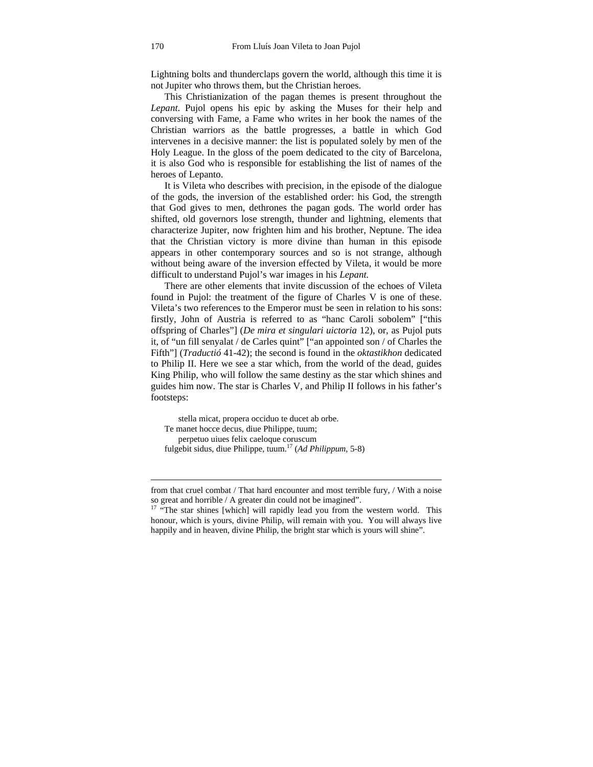Lightning bolts and thunderclaps govern the world, although this time it is not Jupiter who throws them, but the Christian heroes.

 This Christianization of the pagan themes is present throughout the *Lepant*. Pujol opens his epic by asking the Muses for their help and conversing with Fame, a Fame who writes in her book the names of the Christian warriors as the battle progresses, a battle in which God intervenes in a decisive manner: the list is populated solely by men of the Holy League. In the gloss of the poem dedicated to the city of Barcelona, it is also God who is responsible for establishing the list of names of the heroes of Lepanto.

 It is Vileta who describes with precision, in the episode of the dialogue of the gods, the inversion of the established order: his God, the strength that God gives to men, dethrones the pagan gods. The world order has shifted, old governors lose strength, thunder and lightning, elements that characterize Jupiter, now frighten him and his brother, Neptune. The idea that the Christian victory is more divine than human in this episode appears in other contemporary sources and so is not strange, although without being aware of the inversion effected by Vileta, it would be more difficult to understand Pujol's war images in his *Lepant.*

 There are other elements that invite discussion of the echoes of Vileta found in Pujol: the treatment of the figure of Charles V is one of these. Vileta's two references to the Emperor must be seen in relation to his sons: firstly, John of Austria is referred to as "hanc Caroli sobolem" ["this offspring of Charles"] (*De mira et singulari uictoria* 12), or, as Pujol puts it, of "un fill senyalat / de Carles quint" ["an appointed son / of Charles the Fifth"] (*Traductió* 41-42); the second is found in the *oktastikhon* dedicated to Philip II. Here we see a star which, from the world of the dead, guides King Philip, who will follow the same destiny as the star which shines and guides him now. The star is Charles V, and Philip II follows in his father's footsteps:

stella micat, propera occiduo te ducet ab orbe. Te manet hocce decus, diue Philippe, tuum; perpetuo uiues felix caeloque coruscum fulgebit sidus, diue Philippe, tuum.17 (*Ad Philippum*, 5-8)

from that cruel combat / That hard encounter and most terrible fury, / With a noise so great and horrible / A greater din could not be imagined".

<sup>&</sup>lt;sup>17</sup> "The star shines [which] will rapidly lead you from the western world. This honour, which is yours, divine Philip, will remain with you. You will always live happily and in heaven, divine Philip, the bright star which is yours will shine".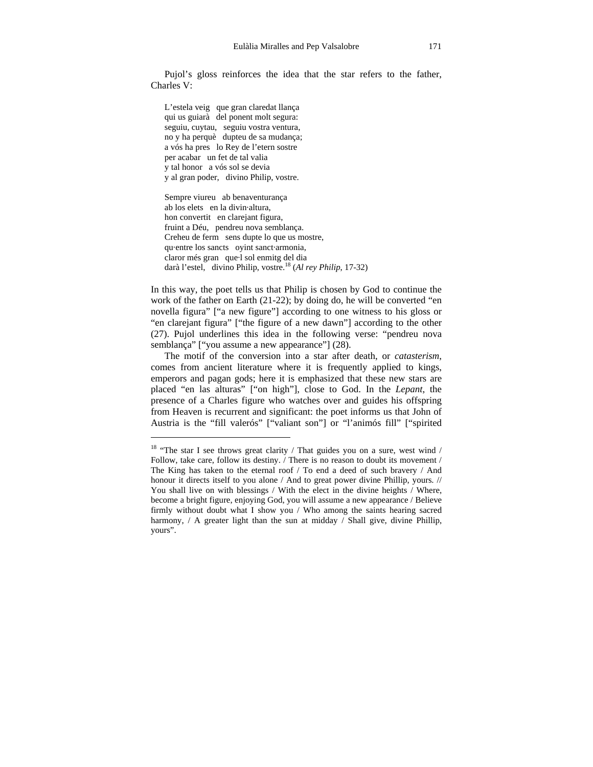Pujol's gloss reinforces the idea that the star refers to the father, Charles V:

L'estela veig que gran claredat llança qui us guiarà del ponent molt segura: seguiu, cuytau, seguiu vostra ventura, no y ha perquè dupteu de sa mudança; a vós ha pres lo Rey de l'etern sostre per acabar un fet de tal valia y tal honor a vós sol se devia y al gran poder, divino Philip, vostre.

1

Sempre viureu ab benaventurança ab los elets en la divin·altura, hon convertit en clarejant figura, fruint a Déu, pendreu nova semblança. Creheu de ferm sens dupte lo que us mostre, qu·entre los sancts oyint sanct·armonia, claror més gran que·l sol enmitg del dia darà l'estel, divino Philip, vostre.18 (*Al rey Philip*, 17-32)

In this way, the poet tells us that Philip is chosen by God to continue the work of the father on Earth (21-22); by doing do, he will be converted "en novella figura" ["a new figure"] according to one witness to his gloss or "en clarejant figura" ["the figure of a new dawn"] according to the other (27). Pujol underlines this idea in the following verse: "pendreu nova semblanca" l''vou assume a new appearance" (28).

 The motif of the conversion into a star after death, or *catasterism*, comes from ancient literature where it is frequently applied to kings, emperors and pagan gods; here it is emphasized that these new stars are placed "en las alturas" ["on high"], close to God. In the *Lepant*, the presence of a Charles figure who watches over and guides his offspring from Heaven is recurrent and significant: the poet informs us that John of Austria is the "fill valerós" ["valiant son"] or "l'animós fill" ["spirited

<sup>&</sup>lt;sup>18</sup> "The star I see throws great clarity / That guides you on a sure, west wind / Follow, take care, follow its destiny. / There is no reason to doubt its movement / The King has taken to the eternal roof / To end a deed of such bravery / And honour it directs itself to you alone / And to great power divine Phillip, yours. // You shall live on with blessings / With the elect in the divine heights / Where, become a bright figure, enjoying God, you will assume a new appearance / Believe firmly without doubt what I show you / Who among the saints hearing sacred harmony, / A greater light than the sun at midday / Shall give, divine Phillip, yours".